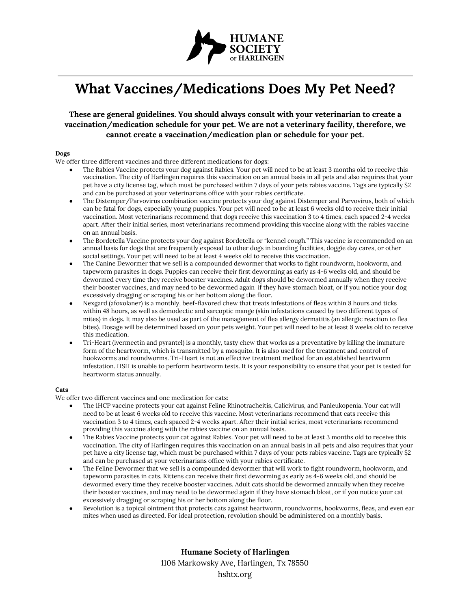

# **What Vaccines/Medications Does My Pet Need?**

## **These are general guidelines. You should always consult with your veterinarian to create a vaccination/medication schedule for your pet. We are not a veterinary facility, therefore, we cannot create a vaccination/medication plan or schedule for your pet.**

### **Dogs**

We offer three different vaccines and three different medications for dogs:

- The Rabies Vaccine protects your dog against Rabies. Your pet will need to be at least 3 months old to receive this vaccination. The city of Harlingen requires this vaccination on an annual basis in all pets and also requires that your pet have a city license tag, which must be purchased within 7 days of your pets rabies vaccine. Tags are typically \$2 and can be purchased at your veterinarians office with your rabies certificate.
- The Distemper/Parvovirus combination vaccine protects your dog against Distemper and Parvovirus, both of which can be fatal for dogs, especially young puppies. Your pet will need to be at least 6 weeks old to receive their initial vaccination. Most veterinarians recommend that dogs receive this vaccination 3 to 4 times, each spaced 2-4 weeks apart. After their initial series, most veterinarians recommend providing this vaccine along with the rabies vaccine on an annual basis.
- The Bordetella Vaccine protects your dog against Bordetella or "kennel cough." This vaccine is recommended on an annual basis for dogs that are frequently exposed to other dogs in boarding facilities, doggie day cares, or other social settings. Your pet will need to be at least 4 weeks old to receive this vaccination.
- The Canine Dewormer that we sell is a compounded dewormer that works to fight roundworm, hookworm, and tapeworm parasites in dogs. Puppies can receive their first deworming as early as 4-6 weeks old, and should be dewormed every time they receive booster vaccines. Adult dogs should be dewormed annually when they receive their booster vaccines, and may need to be dewormed again if they have stomach bloat, or if you notice your dog excessively dragging or scraping his or her bottom along the floor.
- Nexgard (afoxolaner) is a monthly, beef-flavored chew that treats infestations of fleas within 8 hours and ticks within 48 hours, as well as demodectic and sarcoptic mange (skin infestations caused by two different types of mites) in dogs. It may also be used as part of the management of flea allergy dermatitis (an allergic reaction to flea bites). Dosage will be determined based on your pets weight. Your pet will need to be at least 8 weeks old to receive this medication.
- Tri-Heart (ivermectin and pyrantel) is a monthly, tasty chew that works as a preventative by killing the immature form of the heartworm, which is transmitted by a mosquito. It is also used for the treatment and control of hookworms and roundworms. Tri-Heart is not an effective treatment method for an established heartworm infestation. HSH is unable to perform heartworm tests. It is your responsibility to ensure that your pet is tested for heartworm status annually.

### **Cats**

We offer two different vaccines and one medication for cats:

- The 1HCP vaccine protects your cat against Feline Rhinotracheitis, Calicivirus, and Panleukopenia. Your cat will need to be at least 6 weeks old to receive this vaccine. Most veterinarians recommend that cats receive this vaccination 3 to 4 times, each spaced 2-4 weeks apart. After their initial series, most veterinarians recommend providing this vaccine along with the rabies vaccine on an annual basis.
- The Rabies Vaccine protects your cat against Rabies. Your pet will need to be at least 3 months old to receive this vaccination. The city of Harlingen requires this vaccination on an annual basis in all pets and also requires that your pet have a city license tag, which must be purchased within 7 days of your pets rabies vaccine. Tags are typically \$2 and can be purchased at your veterinarians office with your rabies certificate.
- The Feline Dewormer that we sell is a compounded dewormer that will work to fight roundworm, hookworm, and tapeworm parasites in cats. Kittens can receive their first deworming as early as 4-6 weeks old, and should be dewormed every time they receive booster vaccines. Adult cats should be dewormed annually when they receive their booster vaccines, and may need to be dewormed again if they have stomach bloat, or if you notice your cat excessively dragging or scraping his or her bottom along the floor.
- Revolution is a topical ointment that protects cats against heartworm, roundworms, hookworms, fleas, and even ear mites when used as directed. For ideal protection, revolution should be administered on a monthly basis.

**Humane Society of Harlingen** 1106 Markowsky Ave, Harlingen, Tx 78550 hshtx.org